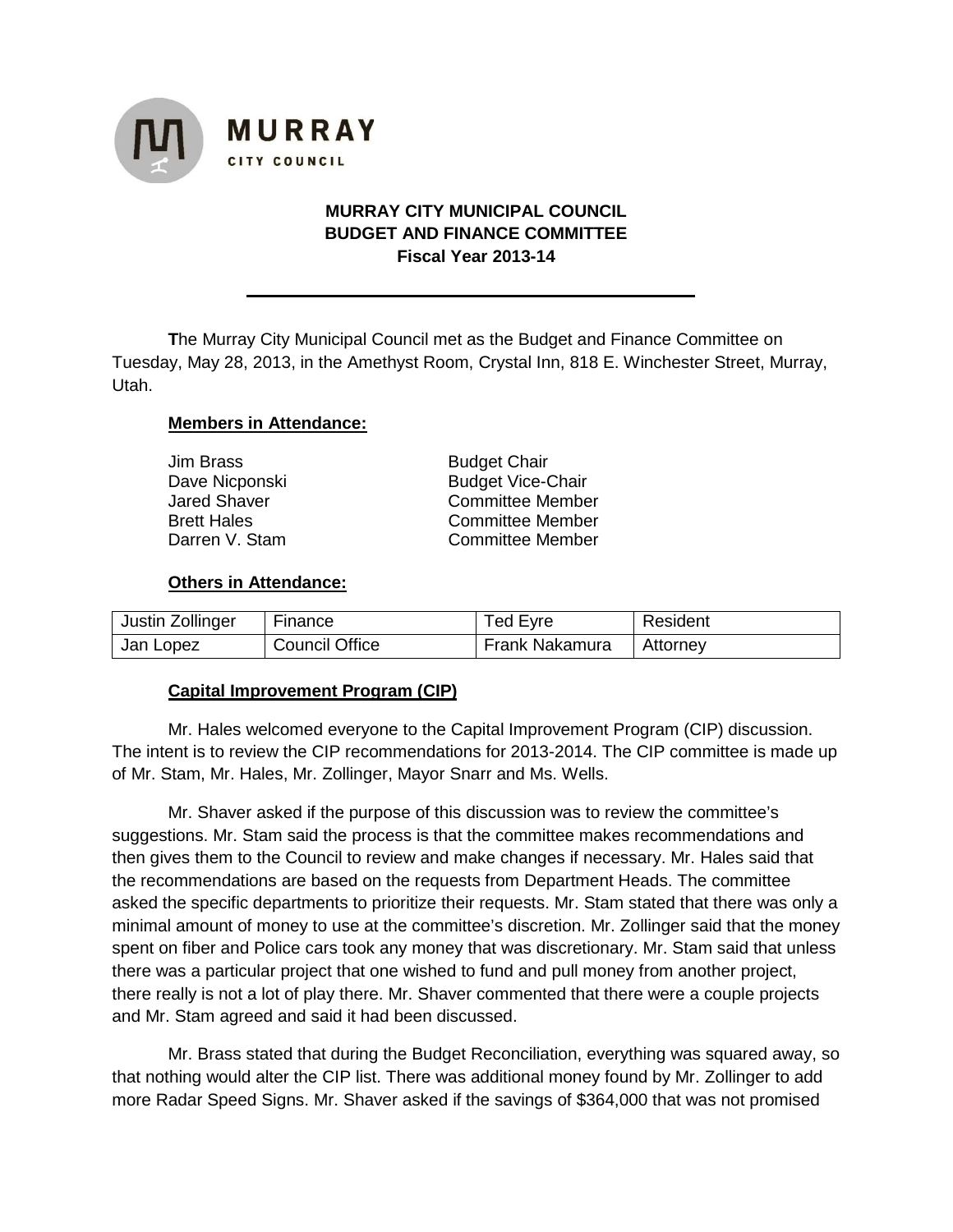

# **MURRAY CITY MUNICIPAL COUNCIL BUDGET AND FINANCE COMMITTEE Fiscal Year 2013-14**

**T**he Murray City Municipal Council met as the Budget and Finance Committee on Tuesday, May 28, 2013, in the Amethyst Room, Crystal Inn, 818 E. Winchester Street, Murray, Utah.

#### **Members in Attendance:**

| Jim Brass      |  |  |  |  |
|----------------|--|--|--|--|
| Dave Nicponski |  |  |  |  |
| Jared Shaver   |  |  |  |  |
| Brett Hales    |  |  |  |  |
| Darren V. Stam |  |  |  |  |

**Budget Chair Budget Vice-Chair** Committee Member Committee Member Committee Member

#### **Others in Attendance:**

| Justin Zollinger | Finance               | Ted Eyre       | Resident |
|------------------|-----------------------|----------------|----------|
| Jan Lopez        | <b>Council Office</b> | Frank Nakamura | Attorney |

#### **Capital Improvement Program (CIP)**

Mr. Hales welcomed everyone to the Capital Improvement Program (CIP) discussion. The intent is to review the CIP recommendations for 2013-2014. The CIP committee is made up of Mr. Stam, Mr. Hales, Mr. Zollinger, Mayor Snarr and Ms. Wells.

Mr. Shaver asked if the purpose of this discussion was to review the committee's suggestions. Mr. Stam said the process is that the committee makes recommendations and then gives them to the Council to review and make changes if necessary. Mr. Hales said that the recommendations are based on the requests from Department Heads. The committee asked the specific departments to prioritize their requests. Mr. Stam stated that there was only a minimal amount of money to use at the committee's discretion. Mr. Zollinger said that the money spent on fiber and Police cars took any money that was discretionary. Mr. Stam said that unless there was a particular project that one wished to fund and pull money from another project, there really is not a lot of play there. Mr. Shaver commented that there were a couple projects and Mr. Stam agreed and said it had been discussed.

Mr. Brass stated that during the Budget Reconciliation, everything was squared away, so that nothing would alter the CIP list. There was additional money found by Mr. Zollinger to add more Radar Speed Signs. Mr. Shaver asked if the savings of \$364,000 that was not promised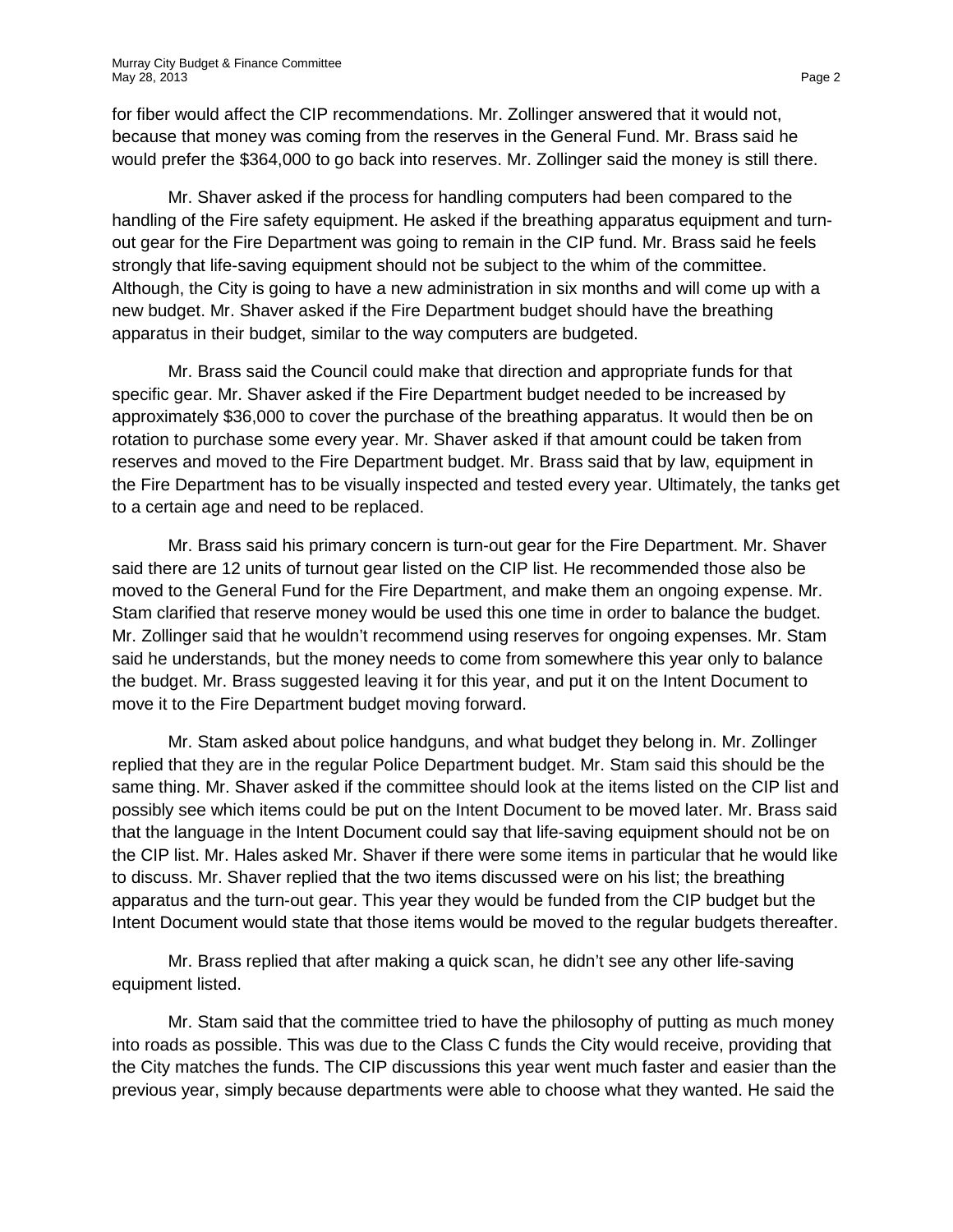for fiber would affect the CIP recommendations. Mr. Zollinger answered that it would not, because that money was coming from the reserves in the General Fund. Mr. Brass said he would prefer the \$364,000 to go back into reserves. Mr. Zollinger said the money is still there.

Mr. Shaver asked if the process for handling computers had been compared to the handling of the Fire safety equipment. He asked if the breathing apparatus equipment and turnout gear for the Fire Department was going to remain in the CIP fund. Mr. Brass said he feels strongly that life-saving equipment should not be subject to the whim of the committee. Although, the City is going to have a new administration in six months and will come up with a new budget. Mr. Shaver asked if the Fire Department budget should have the breathing apparatus in their budget, similar to the way computers are budgeted.

Mr. Brass said the Council could make that direction and appropriate funds for that specific gear. Mr. Shaver asked if the Fire Department budget needed to be increased by approximately \$36,000 to cover the purchase of the breathing apparatus. It would then be on rotation to purchase some every year. Mr. Shaver asked if that amount could be taken from reserves and moved to the Fire Department budget. Mr. Brass said that by law, equipment in the Fire Department has to be visually inspected and tested every year. Ultimately, the tanks get to a certain age and need to be replaced.

Mr. Brass said his primary concern is turn-out gear for the Fire Department. Mr. Shaver said there are 12 units of turnout gear listed on the CIP list. He recommended those also be moved to the General Fund for the Fire Department, and make them an ongoing expense. Mr. Stam clarified that reserve money would be used this one time in order to balance the budget. Mr. Zollinger said that he wouldn't recommend using reserves for ongoing expenses. Mr. Stam said he understands, but the money needs to come from somewhere this year only to balance the budget. Mr. Brass suggested leaving it for this year, and put it on the Intent Document to move it to the Fire Department budget moving forward.

Mr. Stam asked about police handguns, and what budget they belong in. Mr. Zollinger replied that they are in the regular Police Department budget. Mr. Stam said this should be the same thing. Mr. Shaver asked if the committee should look at the items listed on the CIP list and possibly see which items could be put on the Intent Document to be moved later. Mr. Brass said that the language in the Intent Document could say that life-saving equipment should not be on the CIP list. Mr. Hales asked Mr. Shaver if there were some items in particular that he would like to discuss. Mr. Shaver replied that the two items discussed were on his list; the breathing apparatus and the turn-out gear. This year they would be funded from the CIP budget but the Intent Document would state that those items would be moved to the regular budgets thereafter.

Mr. Brass replied that after making a quick scan, he didn't see any other life-saving equipment listed.

Mr. Stam said that the committee tried to have the philosophy of putting as much money into roads as possible. This was due to the Class C funds the City would receive, providing that the City matches the funds. The CIP discussions this year went much faster and easier than the previous year, simply because departments were able to choose what they wanted. He said the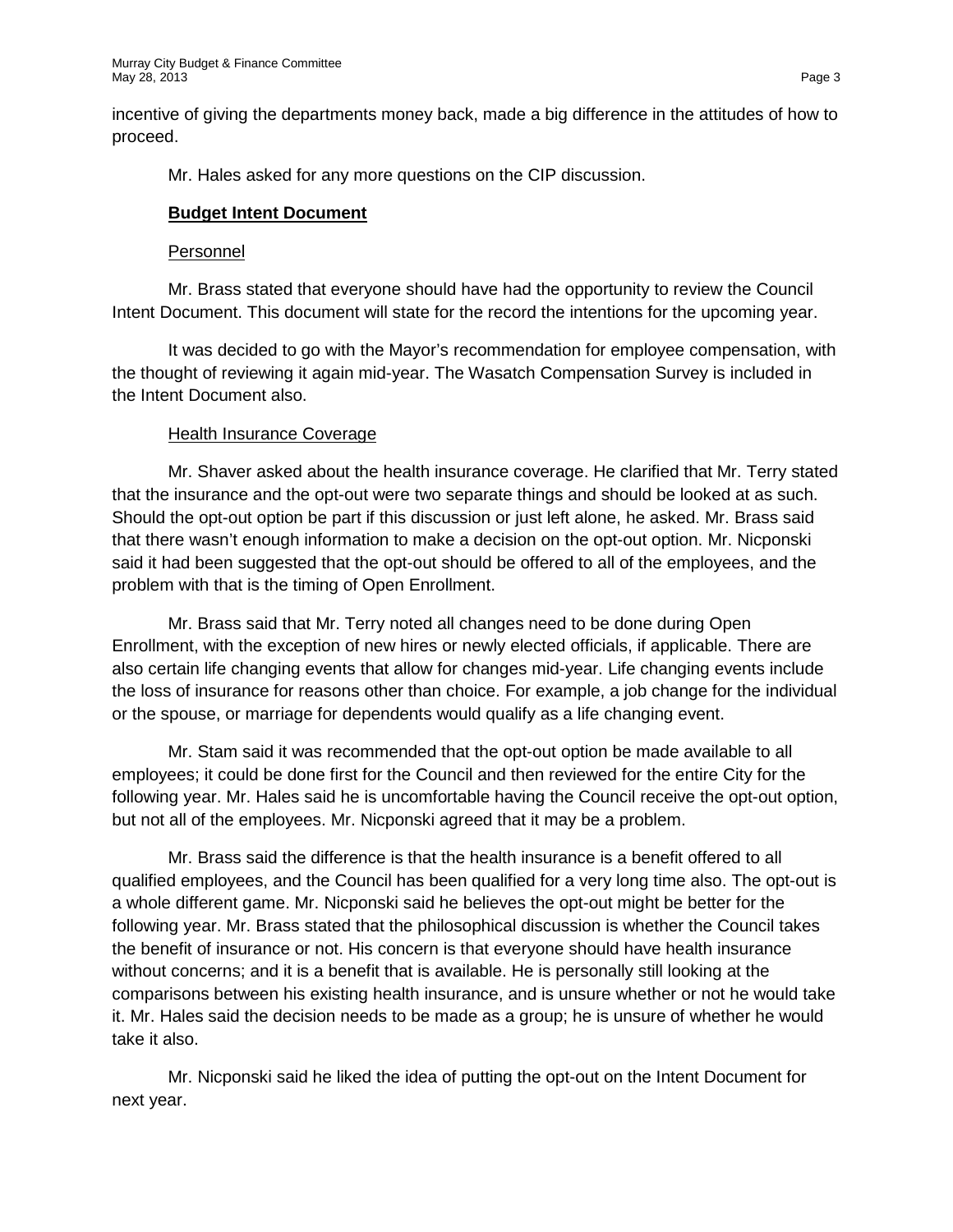incentive of giving the departments money back, made a big difference in the attitudes of how to proceed.

Mr. Hales asked for any more questions on the CIP discussion.

# **Budget Intent Document**

### Personnel

Mr. Brass stated that everyone should have had the opportunity to review the Council Intent Document. This document will state for the record the intentions for the upcoming year.

It was decided to go with the Mayor's recommendation for employee compensation, with the thought of reviewing it again mid-year. The Wasatch Compensation Survey is included in the Intent Document also.

# Health Insurance Coverage

Mr. Shaver asked about the health insurance coverage. He clarified that Mr. Terry stated that the insurance and the opt-out were two separate things and should be looked at as such. Should the opt-out option be part if this discussion or just left alone, he asked. Mr. Brass said that there wasn't enough information to make a decision on the opt-out option. Mr. Nicponski said it had been suggested that the opt-out should be offered to all of the employees, and the problem with that is the timing of Open Enrollment.

Mr. Brass said that Mr. Terry noted all changes need to be done during Open Enrollment, with the exception of new hires or newly elected officials, if applicable. There are also certain life changing events that allow for changes mid-year. Life changing events include the loss of insurance for reasons other than choice. For example, a job change for the individual or the spouse, or marriage for dependents would qualify as a life changing event.

Mr. Stam said it was recommended that the opt-out option be made available to all employees; it could be done first for the Council and then reviewed for the entire City for the following year. Mr. Hales said he is uncomfortable having the Council receive the opt-out option, but not all of the employees. Mr. Nicponski agreed that it may be a problem.

Mr. Brass said the difference is that the health insurance is a benefit offered to all qualified employees, and the Council has been qualified for a very long time also. The opt-out is a whole different game. Mr. Nicponski said he believes the opt-out might be better for the following year. Mr. Brass stated that the philosophical discussion is whether the Council takes the benefit of insurance or not. His concern is that everyone should have health insurance without concerns; and it is a benefit that is available. He is personally still looking at the comparisons between his existing health insurance, and is unsure whether or not he would take it. Mr. Hales said the decision needs to be made as a group; he is unsure of whether he would take it also.

Mr. Nicponski said he liked the idea of putting the opt-out on the Intent Document for next year.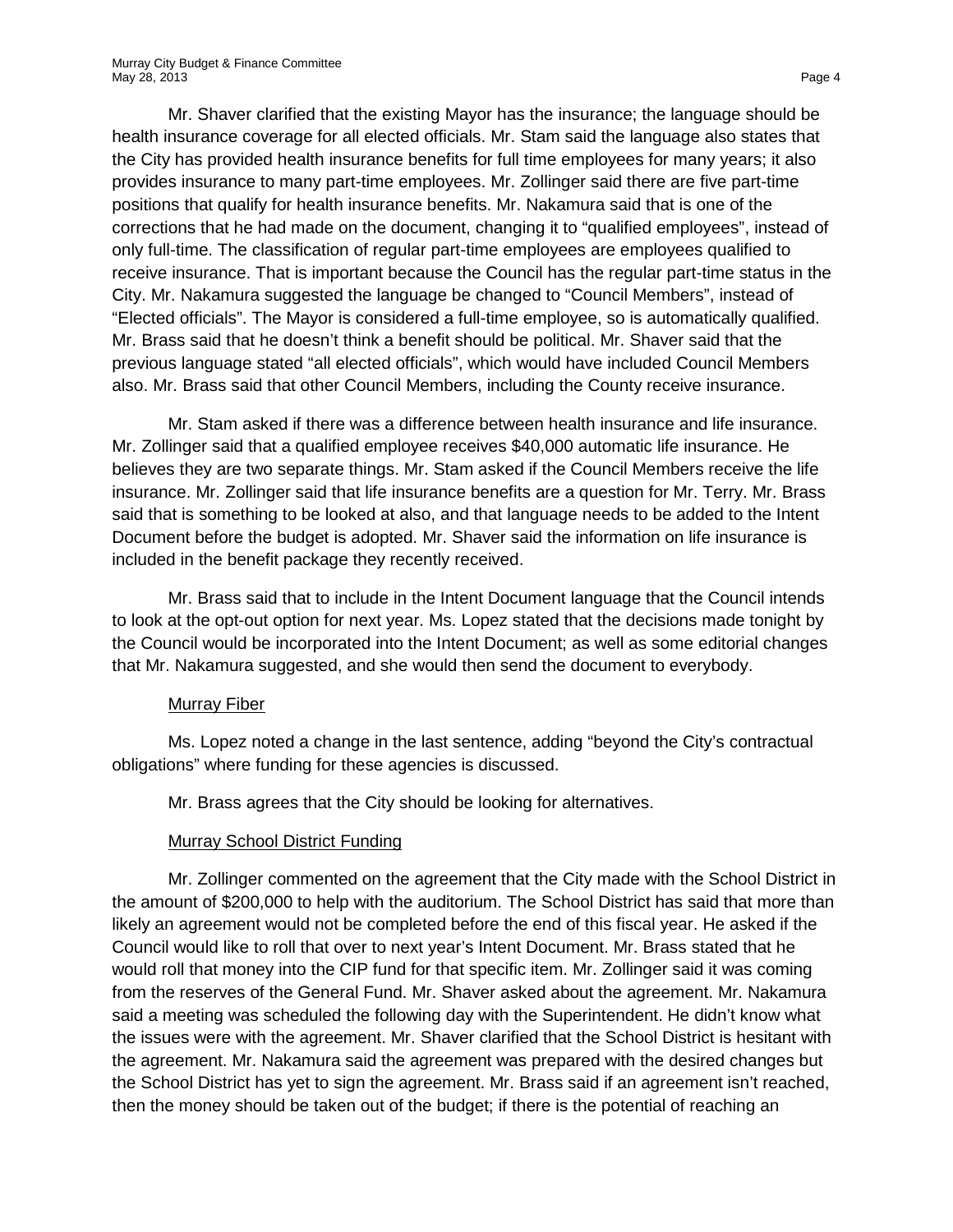Mr. Shaver clarified that the existing Mayor has the insurance; the language should be health insurance coverage for all elected officials. Mr. Stam said the language also states that the City has provided health insurance benefits for full time employees for many years; it also provides insurance to many part-time employees. Mr. Zollinger said there are five part-time positions that qualify for health insurance benefits. Mr. Nakamura said that is one of the corrections that he had made on the document, changing it to "qualified employees", instead of only full-time. The classification of regular part-time employees are employees qualified to receive insurance. That is important because the Council has the regular part-time status in the City. Mr. Nakamura suggested the language be changed to "Council Members", instead of "Elected officials". The Mayor is considered a full-time employee, so is automatically qualified. Mr. Brass said that he doesn't think a benefit should be political. Mr. Shaver said that the previous language stated "all elected officials", which would have included Council Members also. Mr. Brass said that other Council Members, including the County receive insurance.

Mr. Stam asked if there was a difference between health insurance and life insurance. Mr. Zollinger said that a qualified employee receives \$40,000 automatic life insurance. He believes they are two separate things. Mr. Stam asked if the Council Members receive the life insurance. Mr. Zollinger said that life insurance benefits are a question for Mr. Terry. Mr. Brass said that is something to be looked at also, and that language needs to be added to the Intent Document before the budget is adopted. Mr. Shaver said the information on life insurance is included in the benefit package they recently received.

Mr. Brass said that to include in the Intent Document language that the Council intends to look at the opt-out option for next year. Ms. Lopez stated that the decisions made tonight by the Council would be incorporated into the Intent Document; as well as some editorial changes that Mr. Nakamura suggested, and she would then send the document to everybody.

#### Murray Fiber

Ms. Lopez noted a change in the last sentence, adding "beyond the City's contractual obligations" where funding for these agencies is discussed.

Mr. Brass agrees that the City should be looking for alternatives.

# Murray School District Funding

Mr. Zollinger commented on the agreement that the City made with the School District in the amount of \$200,000 to help with the auditorium. The School District has said that more than likely an agreement would not be completed before the end of this fiscal year. He asked if the Council would like to roll that over to next year's Intent Document. Mr. Brass stated that he would roll that money into the CIP fund for that specific item. Mr. Zollinger said it was coming from the reserves of the General Fund. Mr. Shaver asked about the agreement. Mr. Nakamura said a meeting was scheduled the following day with the Superintendent. He didn't know what the issues were with the agreement. Mr. Shaver clarified that the School District is hesitant with the agreement. Mr. Nakamura said the agreement was prepared with the desired changes but the School District has yet to sign the agreement. Mr. Brass said if an agreement isn't reached, then the money should be taken out of the budget; if there is the potential of reaching an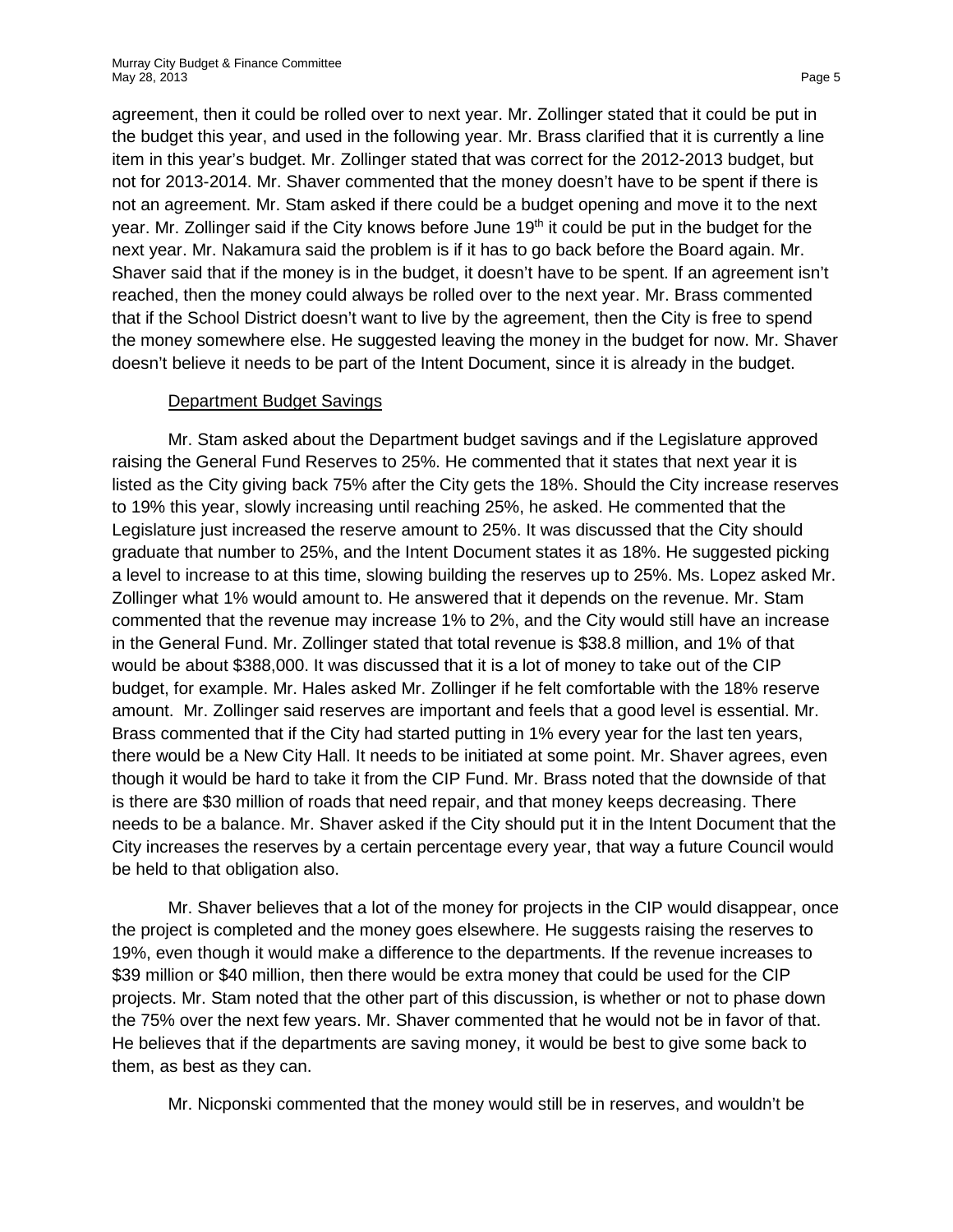agreement, then it could be rolled over to next year. Mr. Zollinger stated that it could be put in the budget this year, and used in the following year. Mr. Brass clarified that it is currently a line item in this year's budget. Mr. Zollinger stated that was correct for the 2012-2013 budget, but not for 2013-2014. Mr. Shaver commented that the money doesn't have to be spent if there is not an agreement. Mr. Stam asked if there could be a budget opening and move it to the next year. Mr. Zollinger said if the City knows before June  $19<sup>th</sup>$  it could be put in the budget for the next year. Mr. Nakamura said the problem is if it has to go back before the Board again. Mr. Shaver said that if the money is in the budget, it doesn't have to be spent. If an agreement isn't reached, then the money could always be rolled over to the next year. Mr. Brass commented that if the School District doesn't want to live by the agreement, then the City is free to spend the money somewhere else. He suggested leaving the money in the budget for now. Mr. Shaver doesn't believe it needs to be part of the Intent Document, since it is already in the budget.

### Department Budget Savings

Mr. Stam asked about the Department budget savings and if the Legislature approved raising the General Fund Reserves to 25%. He commented that it states that next year it is listed as the City giving back 75% after the City gets the 18%. Should the City increase reserves to 19% this year, slowly increasing until reaching 25%, he asked. He commented that the Legislature just increased the reserve amount to 25%. It was discussed that the City should graduate that number to 25%, and the Intent Document states it as 18%. He suggested picking a level to increase to at this time, slowing building the reserves up to 25%. Ms. Lopez asked Mr. Zollinger what 1% would amount to. He answered that it depends on the revenue. Mr. Stam commented that the revenue may increase 1% to 2%, and the City would still have an increase in the General Fund. Mr. Zollinger stated that total revenue is \$38.8 million, and 1% of that would be about \$388,000. It was discussed that it is a lot of money to take out of the CIP budget, for example. Mr. Hales asked Mr. Zollinger if he felt comfortable with the 18% reserve amount. Mr. Zollinger said reserves are important and feels that a good level is essential. Mr. Brass commented that if the City had started putting in 1% every year for the last ten years, there would be a New City Hall. It needs to be initiated at some point. Mr. Shaver agrees, even though it would be hard to take it from the CIP Fund. Mr. Brass noted that the downside of that is there are \$30 million of roads that need repair, and that money keeps decreasing. There needs to be a balance. Mr. Shaver asked if the City should put it in the Intent Document that the City increases the reserves by a certain percentage every year, that way a future Council would be held to that obligation also.

Mr. Shaver believes that a lot of the money for projects in the CIP would disappear, once the project is completed and the money goes elsewhere. He suggests raising the reserves to 19%, even though it would make a difference to the departments. If the revenue increases to \$39 million or \$40 million, then there would be extra money that could be used for the CIP projects. Mr. Stam noted that the other part of this discussion, is whether or not to phase down the 75% over the next few years. Mr. Shaver commented that he would not be in favor of that. He believes that if the departments are saving money, it would be best to give some back to them, as best as they can.

Mr. Nicponski commented that the money would still be in reserves, and wouldn't be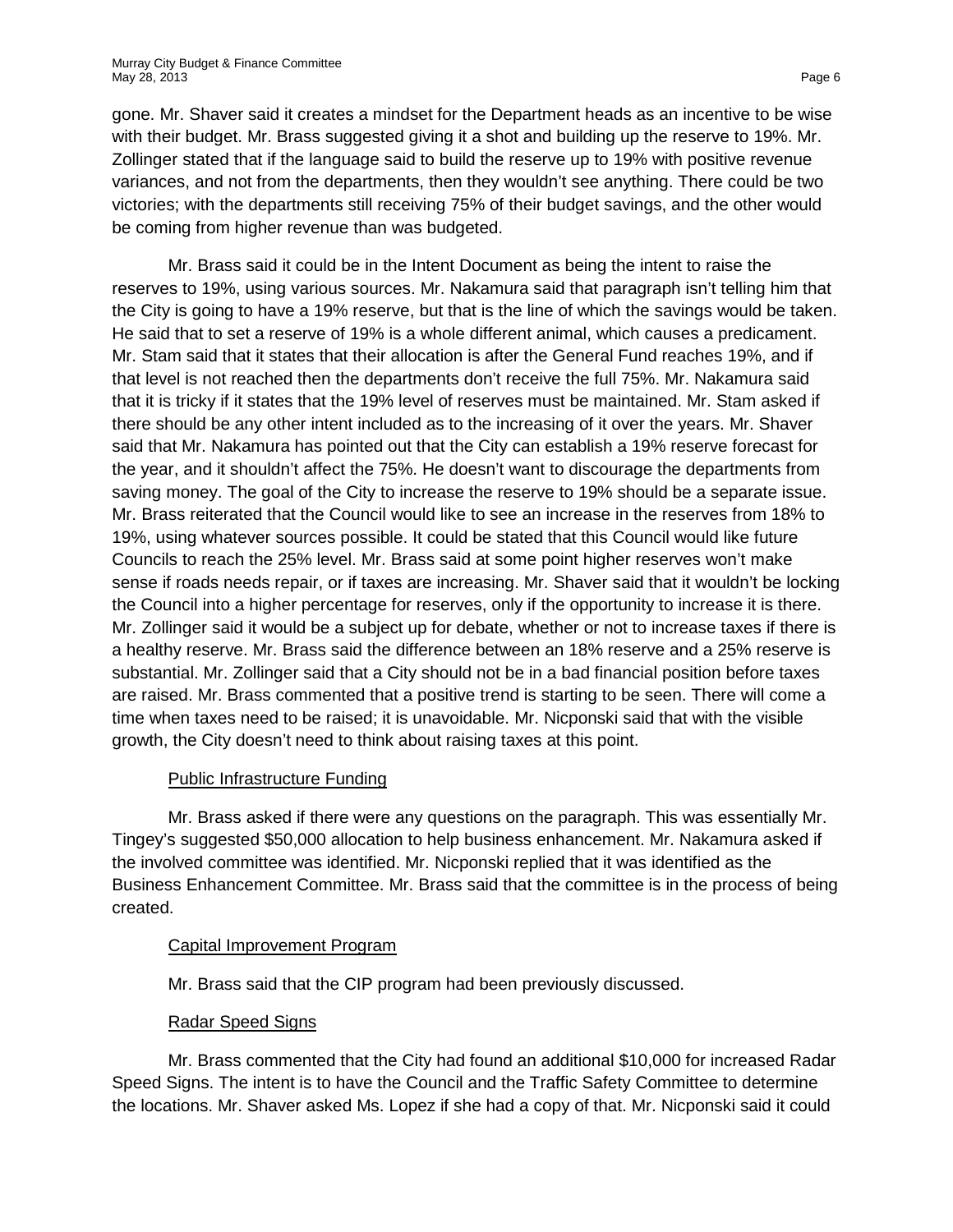gone. Mr. Shaver said it creates a mindset for the Department heads as an incentive to be wise with their budget. Mr. Brass suggested giving it a shot and building up the reserve to 19%. Mr. Zollinger stated that if the language said to build the reserve up to 19% with positive revenue variances, and not from the departments, then they wouldn't see anything. There could be two victories; with the departments still receiving 75% of their budget savings, and the other would be coming from higher revenue than was budgeted.

Mr. Brass said it could be in the Intent Document as being the intent to raise the reserves to 19%, using various sources. Mr. Nakamura said that paragraph isn't telling him that the City is going to have a 19% reserve, but that is the line of which the savings would be taken. He said that to set a reserve of 19% is a whole different animal, which causes a predicament. Mr. Stam said that it states that their allocation is after the General Fund reaches 19%, and if that level is not reached then the departments don't receive the full 75%. Mr. Nakamura said that it is tricky if it states that the 19% level of reserves must be maintained. Mr. Stam asked if there should be any other intent included as to the increasing of it over the years. Mr. Shaver said that Mr. Nakamura has pointed out that the City can establish a 19% reserve forecast for the year, and it shouldn't affect the 75%. He doesn't want to discourage the departments from saving money. The goal of the City to increase the reserve to 19% should be a separate issue. Mr. Brass reiterated that the Council would like to see an increase in the reserves from 18% to 19%, using whatever sources possible. It could be stated that this Council would like future Councils to reach the 25% level. Mr. Brass said at some point higher reserves won't make sense if roads needs repair, or if taxes are increasing. Mr. Shaver said that it wouldn't be locking the Council into a higher percentage for reserves, only if the opportunity to increase it is there. Mr. Zollinger said it would be a subject up for debate, whether or not to increase taxes if there is a healthy reserve. Mr. Brass said the difference between an 18% reserve and a 25% reserve is substantial. Mr. Zollinger said that a City should not be in a bad financial position before taxes are raised. Mr. Brass commented that a positive trend is starting to be seen. There will come a time when taxes need to be raised; it is unavoidable. Mr. Nicponski said that with the visible growth, the City doesn't need to think about raising taxes at this point.

# Public Infrastructure Funding

Mr. Brass asked if there were any questions on the paragraph. This was essentially Mr. Tingey's suggested \$50,000 allocation to help business enhancement. Mr. Nakamura asked if the involved committee was identified. Mr. Nicponski replied that it was identified as the Business Enhancement Committee. Mr. Brass said that the committee is in the process of being created.

# Capital Improvement Program

Mr. Brass said that the CIP program had been previously discussed.

# Radar Speed Signs

Mr. Brass commented that the City had found an additional \$10,000 for increased Radar Speed Signs. The intent is to have the Council and the Traffic Safety Committee to determine the locations. Mr. Shaver asked Ms. Lopez if she had a copy of that. Mr. Nicponski said it could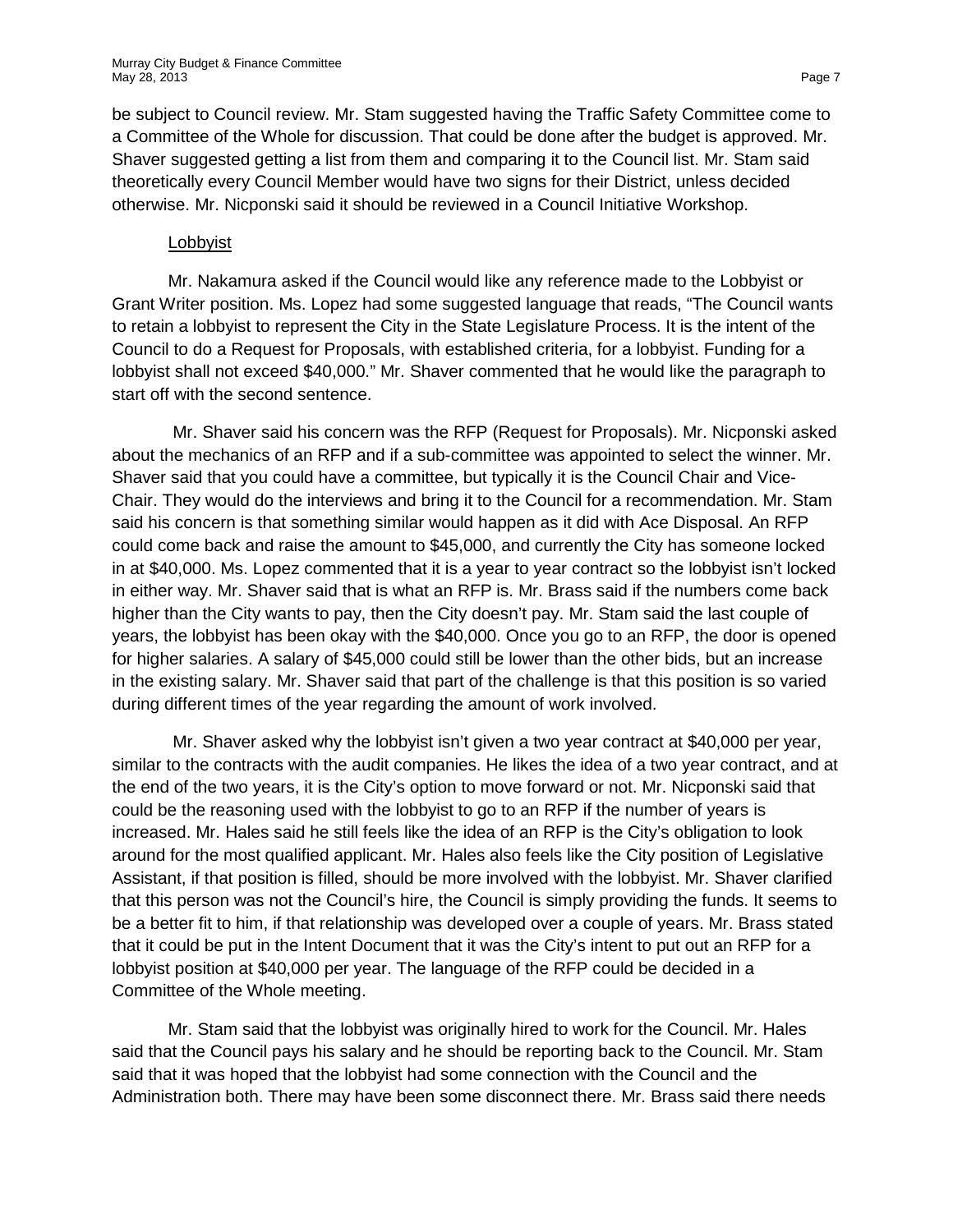be subject to Council review. Mr. Stam suggested having the Traffic Safety Committee come to a Committee of the Whole for discussion. That could be done after the budget is approved. Mr. Shaver suggested getting a list from them and comparing it to the Council list. Mr. Stam said theoretically every Council Member would have two signs for their District, unless decided otherwise. Mr. Nicponski said it should be reviewed in a Council Initiative Workshop.

#### Lobbyist

Mr. Nakamura asked if the Council would like any reference made to the Lobbyist or Grant Writer position. Ms. Lopez had some suggested language that reads, "The Council wants to retain a lobbyist to represent the City in the State Legislature Process. It is the intent of the Council to do a Request for Proposals, with established criteria, for a lobbyist. Funding for a lobbyist shall not exceed \$40,000." Mr. Shaver commented that he would like the paragraph to start off with the second sentence.

Mr. Shaver said his concern was the RFP (Request for Proposals). Mr. Nicponski asked about the mechanics of an RFP and if a sub-committee was appointed to select the winner. Mr. Shaver said that you could have a committee, but typically it is the Council Chair and Vice-Chair. They would do the interviews and bring it to the Council for a recommendation. Mr. Stam said his concern is that something similar would happen as it did with Ace Disposal. An RFP could come back and raise the amount to \$45,000, and currently the City has someone locked in at \$40,000. Ms. Lopez commented that it is a year to year contract so the lobbyist isn't locked in either way. Mr. Shaver said that is what an RFP is. Mr. Brass said if the numbers come back higher than the City wants to pay, then the City doesn't pay. Mr. Stam said the last couple of years, the lobbyist has been okay with the \$40,000. Once you go to an RFP, the door is opened for higher salaries. A salary of \$45,000 could still be lower than the other bids, but an increase in the existing salary. Mr. Shaver said that part of the challenge is that this position is so varied during different times of the year regarding the amount of work involved.

Mr. Shaver asked why the lobbyist isn't given a two year contract at \$40,000 per year, similar to the contracts with the audit companies. He likes the idea of a two year contract, and at the end of the two years, it is the City's option to move forward or not. Mr. Nicponski said that could be the reasoning used with the lobbyist to go to an RFP if the number of years is increased. Mr. Hales said he still feels like the idea of an RFP is the City's obligation to look around for the most qualified applicant. Mr. Hales also feels like the City position of Legislative Assistant, if that position is filled, should be more involved with the lobbyist. Mr. Shaver clarified that this person was not the Council's hire, the Council is simply providing the funds. It seems to be a better fit to him, if that relationship was developed over a couple of years. Mr. Brass stated that it could be put in the Intent Document that it was the City's intent to put out an RFP for a lobbyist position at \$40,000 per year. The language of the RFP could be decided in a Committee of the Whole meeting.

Mr. Stam said that the lobbyist was originally hired to work for the Council. Mr. Hales said that the Council pays his salary and he should be reporting back to the Council. Mr. Stam said that it was hoped that the lobbyist had some connection with the Council and the Administration both. There may have been some disconnect there. Mr. Brass said there needs